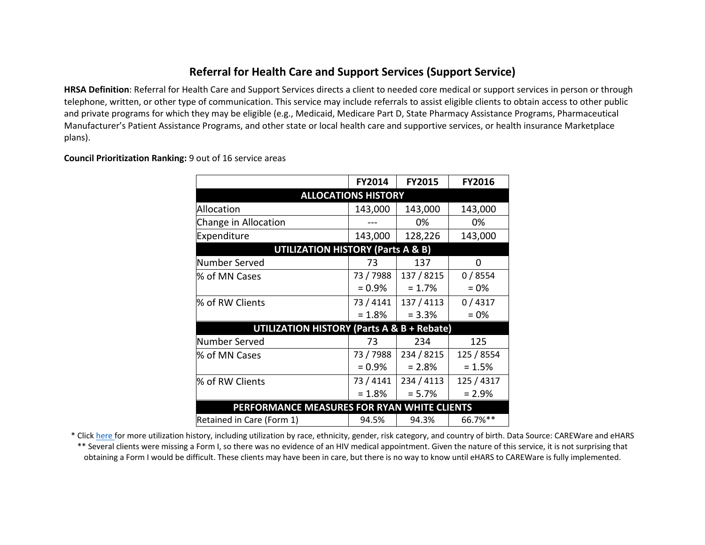## **Referral for Health Care and Support Services (Support Service)**

**HRSA Definition**: Referral for Health Care and Support Services directs a client to needed core medical or support services in person or through telephone, written, or other type of communication. This service may include referrals to assist eligible clients to obtain access to other public and private programs for which they may be eligible (e.g., Medicaid, Medicare Part D, State Pharmacy Assistance Programs, Pharmaceutical Manufacturer's Patient Assistance Programs, and other state or local health care and supportive services, or health insurance Marketplace plans).

**Council Prioritization Ranking:** 9 out of 16 service areas

|                                                       | FY2014                                       | <b>FY2015</b> | FY2016     |
|-------------------------------------------------------|----------------------------------------------|---------------|------------|
|                                                       | <b>ALLOCATIONS HISTORY</b>                   |               |            |
| Allocation                                            | 143,000                                      | 143,000       | 143,000    |
| Change in Allocation                                  |                                              | 0%            | 0%         |
| Expenditure                                           | 143,000                                      | 128,226       | 143,000    |
|                                                       | <b>UTILIZATION HISTORY (Parts A &amp; B)</b> |               |            |
| Number Served                                         | 73                                           | 137           | 0          |
| % of MN Cases                                         | 73 / 7988                                    | 137 / 8215    | 0/8554     |
|                                                       | $= 0.9\%$                                    | $= 1.7%$      | $= 0\%$    |
| % of RW Clients                                       | 73 / 4141                                    | 137 / 4113    | 0/4317     |
|                                                       | $= 1.8%$                                     | $= 3.3%$      | $= 0\%$    |
| <b>UTILIZATION HISTORY (Parts A &amp; B + Rebate)</b> |                                              |               |            |
| Number Served                                         | 73                                           | 234           | 125        |
| % of MN Cases                                         | 73 / 7988                                    | 234 / 8215    | 125 / 8554 |
|                                                       | $= 0.9\%$                                    | $= 2.8%$      | $= 1.5%$   |
| % of RW Clients                                       | 73 / 4141                                    | 234 / 4113    | 125 / 4317 |
|                                                       | $= 1.8%$                                     | $= 5.7%$      | $= 2.9%$   |
| PERFORMANCE MEASURES FOR RYAN WHITE CLIENTS           |                                              |               |            |
| Retained in Care (Form 1)                             | 94.5%                                        | 94.3%         | 66.7%**    |

\* Click [here f](http://www.mnhivcouncil.org/uploads/3/4/7/5/34759483/sars_support_services_2017.pdf)or more utilization history, including utilization by race, ethnicity, gender, risk category, and country of birth. Data Source: CAREWare and eHARS

\*\* Several clients were missing a Form I, so there was no evidence of an HIV medical appointment. Given the nature of this service, it is not surprising that obtaining a Form I would be difficult. These clients may have been in care, but there is no way to know until eHARS to CAREWare is fully implemented.